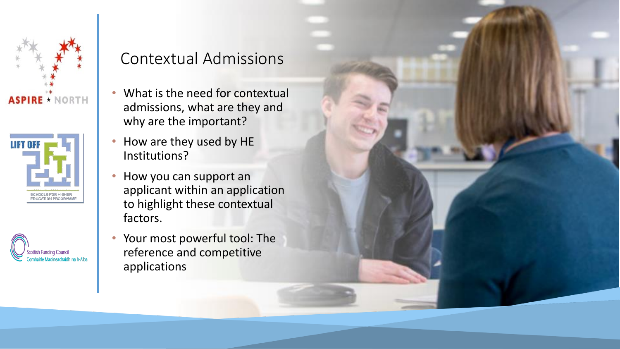





## Contextual Admissions

- What is the need for contextual admissions, what are they and why are the important?
- How are they used by HE Institutions?
- How you can support an applicant within an application to highlight these contextual factors.
- Your most powerful tool: The reference and competitive applications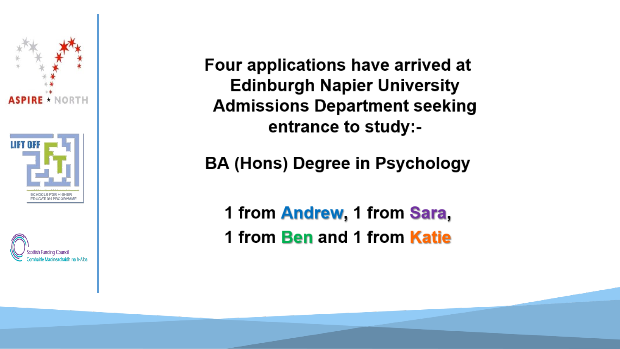



Four applications have arrived at **Edinburgh Napier University Admissions Department seeking** entrance to study:-

**BA (Hons) Degree in Psychology** 

1 from Andrew, 1 from Sara, 1 from Ben and 1 from Katie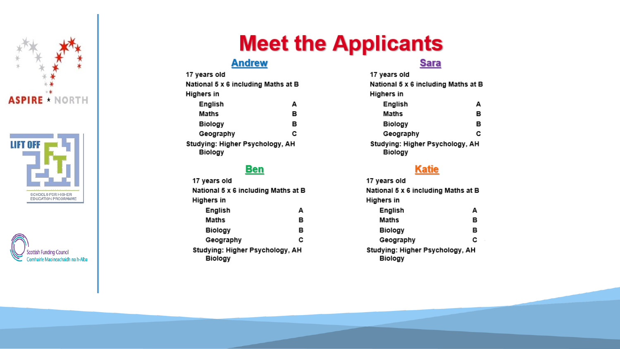





# **Meet the Applicants**

## **Andrew**

| 17 years old                                      |   |  |
|---------------------------------------------------|---|--|
| National 5 x 6 including Maths at B               |   |  |
| Highers in                                        |   |  |
| English                                           | А |  |
| Maths                                             | в |  |
| Biology                                           | в |  |
| Geography                                         | с |  |
| Studying: Higher Psychology, AH<br><b>Biology</b> |   |  |

### **Ben**

| 17 years old                                      |   |  |
|---------------------------------------------------|---|--|
| National 5 x 6 including Maths at B               |   |  |
| Highers in                                        |   |  |
| English                                           | А |  |
| Maths                                             | в |  |
| <b>Biology</b>                                    | в |  |
| Geography                                         | c |  |
| Studying: Higher Psychology, AH<br><b>Biology</b> |   |  |

### **Sara**

| 17 years old                                      |   |
|---------------------------------------------------|---|
| National 5 x 6 including Maths at E               |   |
| Highers in                                        |   |
| English                                           | А |
| Maths                                             | в |
| <b>Biology</b>                                    | в |
| Geography                                         | c |
| Studying: Higher Psychology, AH<br><b>Biology</b> |   |

### **Katie**

17 years old National 5 x 6 including Maths at B **Highers in** English А **Maths** в **Biology** в Geography C Studying: Higher Psychology, AH **Biology**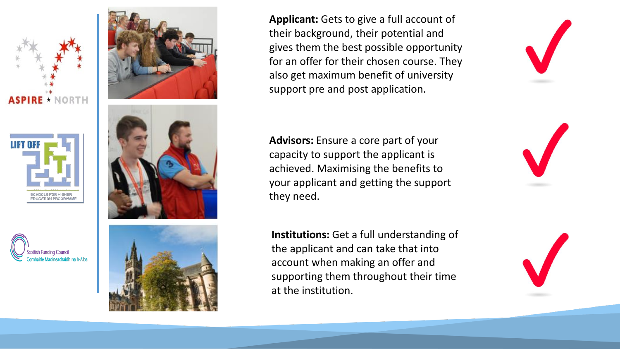







**Applicant:** Gets to give a full account of their background, their potential and gives them the best possible opportunity for an offer for their chosen course. They also get maximum benefit of university support pre and post application.

![](_page_3_Picture_6.jpeg)

**Advisors:** Ensure a core part of your capacity to support the applicant is achieved. Maximising the benefits to your applicant and getting the support they need.

**Institutions:** Get a full understanding of the applicant and can take that into account when making an offer and supporting them throughout their time at the institution.

![](_page_3_Picture_9.jpeg)

![](_page_3_Picture_10.jpeg)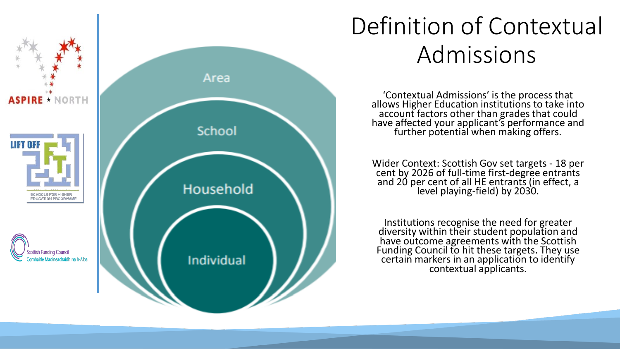![](_page_4_Figure_0.jpeg)

# Definition of Contextual Admissions

'Contextual Admissions' is the process that allows Higher Education institutions to take into account factors other than grades that could have affected your applicant's performance and further potential when making offers.

Wider Context: Scottish Gov set targets - 18 per cent by 2026 of full-time first-degree entrants and 20 per cent of all HE entrants (in effect, a level playing-field) by 2030.

Institutions recognise the need for greater diversity within their student population and have outcome agreements with the Scottish Funding Council to hit these targets. They use certain markers in an application to identify contextual applicants.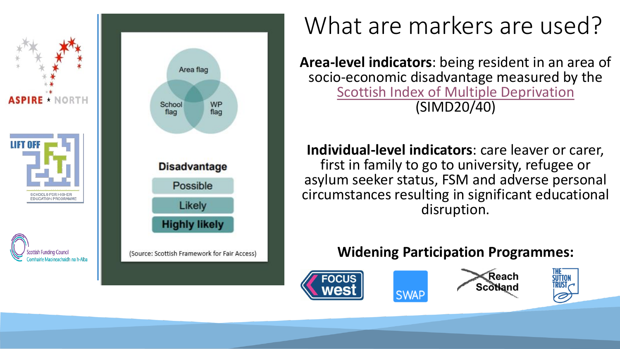![](_page_5_Figure_0.jpeg)

# What are markers are used?

**Area-level indicators**: being resident in an area of socio-economic disadvantage measured by the [Scottish Index of Multiple Deprivation](https://simd.scot/#/simd2020/BTTTFTT/9/-4.0000/55.9000/) (SIMD20/40)

**Individual-level indicators**: care leaver or carer, first in family to go to university, refugee or asylum seeker status, FSM and adverse personal circumstances resulting in significant educational disruption.

## **Widening Participation Programmes:**

![](_page_5_Picture_5.jpeg)

![](_page_5_Picture_6.jpeg)

![](_page_5_Picture_7.jpeg)

![](_page_5_Picture_8.jpeg)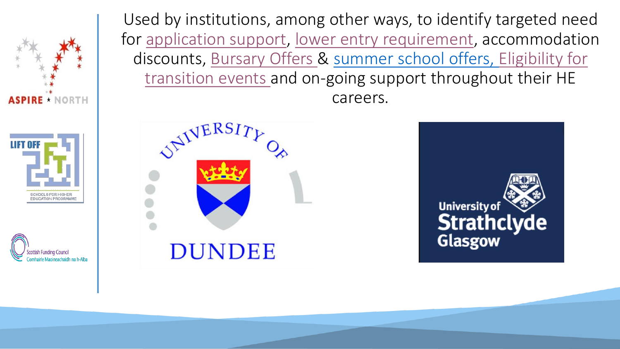![](_page_6_Picture_0.jpeg)

![](_page_6_Picture_1.jpeg)

![](_page_6_Picture_2.jpeg)

Used by institutions, among other ways, to identify targeted need for [application support,](https://www.uws.ac.uk/university-life/student-support-wellbeing/care-experienced-carer-or-estranged-student/) [lower entry requirement,](https://www.ed.ac.uk/studying/undergraduate/degrees/index.php?action=programme&code=NN14) accommodation d[iscounts, Bursary Offers & summer school offers, Eligibility for](https://www.hw.ac.uk/study/widening-participation/college-students.htm) transition events and on-going support throughout their HE careers.

![](_page_6_Picture_4.jpeg)

![](_page_6_Picture_5.jpeg)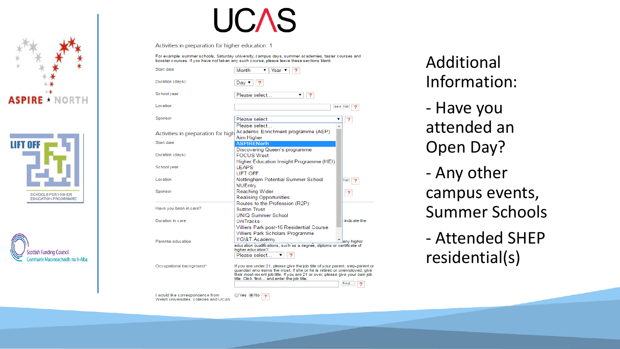![](_page_7_Picture_0.jpeg)

![](_page_7_Picture_1.jpeg)

![](_page_7_Picture_2.jpeg)

![](_page_7_Picture_3.jpeg)

Activities in preparation for higher education: 1

For example: summer schools, Saturday university, campus days, summer academies, taster courses and booster courses. If you have not taken any such course, please leave these sections blank

| Start date                                                                | Month<br>Year                                                                                                                                                                                                                                                                             |                         |
|---------------------------------------------------------------------------|-------------------------------------------------------------------------------------------------------------------------------------------------------------------------------------------------------------------------------------------------------------------------------------------|-------------------------|
| Duration (days)                                                           | Dav ▼                                                                                                                                                                                                                                                                                     |                         |
| School year                                                               | Please select<br>2<br>▼                                                                                                                                                                                                                                                                   |                         |
| Location                                                                  | see list                                                                                                                                                                                                                                                                                  | 2                       |
| Sponsor                                                                   | Please select.<br>Please select                                                                                                                                                                                                                                                           | ?                       |
| Activities in preparation for high                                        | Academic Enrichment programme (AEP)<br>Aim Higher                                                                                                                                                                                                                                         |                         |
| Start date                                                                | <b>ASPIRENorth</b>                                                                                                                                                                                                                                                                        |                         |
| Duration (days)                                                           | Discovering Queen's programme<br><b>FOCUS West</b><br>Higher Education Insight Programme (HEI)                                                                                                                                                                                            |                         |
| School year                                                               | <b>IFAPS</b><br><b>LIFT OFF</b>                                                                                                                                                                                                                                                           |                         |
| Location                                                                  | Nottingham Potential Summer School<br><b>NUEntry</b>                                                                                                                                                                                                                                      | list                    |
| Sponsor                                                                   | Reaching Wider<br><b>Realising Opportunities</b>                                                                                                                                                                                                                                          | $\overline{\mathbf{r}}$ |
| Have you been in care?                                                    | Routes to the Profession (R2P)<br><b>Sutton Trust</b><br>UNIO Summer School                                                                                                                                                                                                               |                         |
| Duration in care                                                          | UniTracks                                                                                                                                                                                                                                                                                 | indicate the            |
|                                                                           | Villiers Park post-16 Residential Course                                                                                                                                                                                                                                                  |                         |
|                                                                           |                                                                                                                                                                                                                                                                                           |                         |
|                                                                           | Villiers Park Scholars Programme                                                                                                                                                                                                                                                          |                         |
| Parental education                                                        | YG\&T Academy<br>education qualifications, such as a degree, diploma or certificate of<br>higher education?                                                                                                                                                                               | any higher              |
|                                                                           | Please select                                                                                                                                                                                                                                                                             |                         |
| Occupational background*                                                  | If you are under 21, please give the job title of your parent, step-parent or<br>quardian who earns the most. If she or he is retired or unemployed, give<br>their most recent job title. If you are 21 or over, please give your own job<br>title. Click 'find' and enter the job title. | find                    |
|                                                                           |                                                                                                                                                                                                                                                                                           |                         |
| I would like correspondence from<br>Welsh universities, colleges and UCAS | ()Yes (®)No                                                                                                                                                                                                                                                                               |                         |

Additional Information: - Have you attended an Open Day? - Any other campus events, Summer Schools - Attended SHEP residential(s)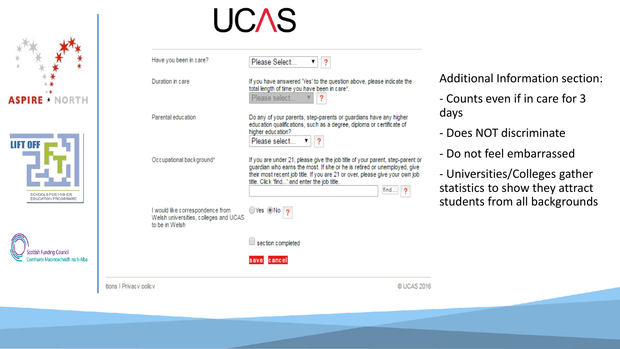![](_page_8_Picture_0.jpeg)

![](_page_8_Picture_1.jpeg)

![](_page_8_Picture_2.jpeg)

![](_page_8_Picture_3.jpeg)

| Occupational background*                                                                    | education qualifications, such as a degree, diploma or certificate of<br>higher education?<br>Please select<br>If you are under 21, please give the job title of your parent, step-parent or<br>guardian who earns the most. If she or he is retired or unemployed, give<br>their most recent job title. If you are 21 or over, please give your own job<br>title. Click 'find' and enter the job title.<br>find | - Does NOT dis<br>- Do not feel ei<br>- Universities/<br>statistics to she |
|---------------------------------------------------------------------------------------------|------------------------------------------------------------------------------------------------------------------------------------------------------------------------------------------------------------------------------------------------------------------------------------------------------------------------------------------------------------------------------------------------------------------|----------------------------------------------------------------------------|
| I would like correspondence from<br>Welsh universities, colleges and UCAS<br>to be in Welsh | ◯Yes ◎No<br>section completed                                                                                                                                                                                                                                                                                                                                                                                    | students from                                                              |
| itions I Privacy policy                                                                     | cancel<br>© UCAS 2016                                                                                                                                                                                                                                                                                                                                                                                            |                                                                            |

ormation section:

if in care for 3

- scriminate
- mbarrassed

Colleges gather ow they attract all backgrounds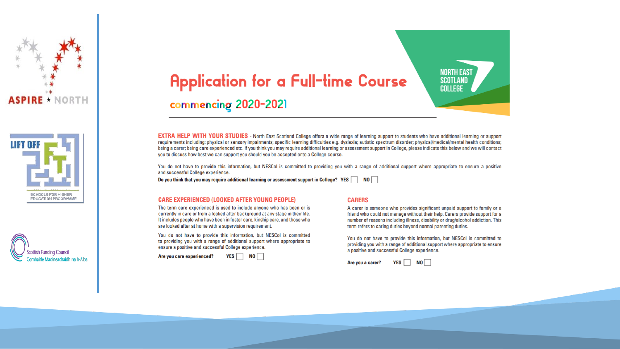![](_page_9_Picture_0.jpeg)

![](_page_9_Picture_1.jpeg)

![](_page_9_Picture_2.jpeg)

## **Application for a Full-time Course** commencing 2020-2021

**EXTRA HELP WITH YOUR STUDIES** - North East Scotland College offers a wide range of learning support to students who have additional learning or support requirements including: physical or sensory impairments; specific learning difficulties e.g. dyslexia; autistic spectrum disorder; physical/medical/mental health conditions; being a carer; being care experienced etc. If you think you may require additional learning or assessment support in College, please indicate this below and we will contact you to discuss how best we can support you should you be accepted onto a College course.

You do not have to provide this information, but NESCol is committed to providing you with a range of additional support where appropriate to ensure a positive and successful College experience.

Do you think that you may require additional learning or assessment support in College? YES  $\Box$  NO

#### **CARE EXPERIENCED (LOOKED AFTER YOUNG PEOPLE)**

The term care experienced is used to include anyone who has been or is currently in care or from a looked after background at any stage in their life. It includes people who have been in foster care, kinship care, and those who are looked after at home with a supervision requirement.

You do not have to provide this information, but NESCol is committed to providing you with a range of additional support where appropriate to ensure a positive and successful College experience.

Are you care experienced?

YES  $\Box$  NO  $\Box$ 

#### **CARERS**

A carer is someone who provides significant unpaid support to family or a friend who could not manage without their help. Carers provide support for a number of reasons including illness, disability or drug/alcohol addiction. This term refers to caring duties beyond normal parenting duties.

**NORTH EAST** 

**SCOTLAND** COLLEGE

You do not have to provide this information, but NESCol is committed to providing you with a range of additional support where appropriate to ensure a positive and successful College experience.

![](_page_9_Picture_15.jpeg)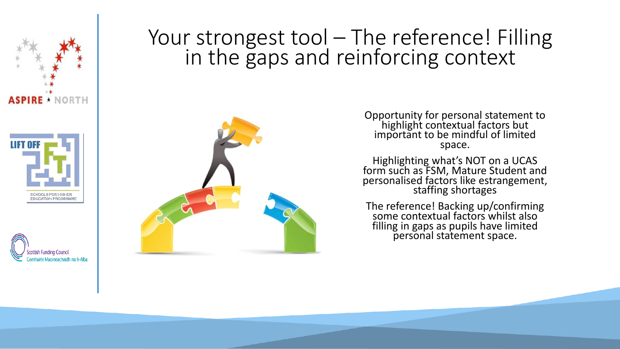![](_page_10_Picture_0.jpeg)

![](_page_10_Picture_1.jpeg)

![](_page_10_Picture_2.jpeg)

# Your strongest tool - The reference! Filling in the gaps and reinforcing context

![](_page_10_Picture_4.jpeg)

Opportunity for personal statement to highlight contextual factors but important to be mindful of limited space.

Highlighting what's NOT on a UCAS form such as FSM, Mature Student and personalised factors like estrangement, staffing shortages

The reference! Backing up/confirming some contextual factors whilst also filling in gaps as pupils have limited personal statement space.